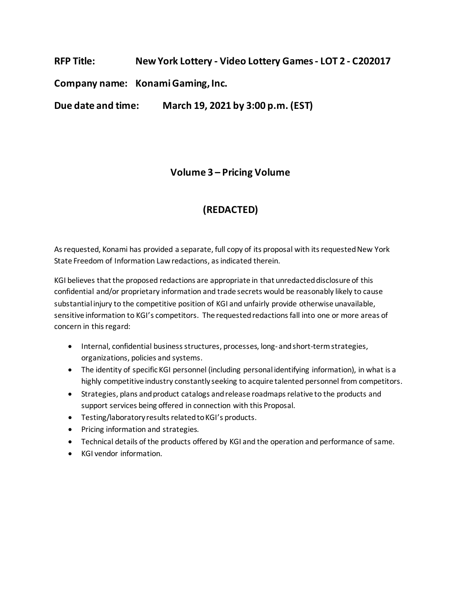**RFP Title: New York Lottery - Video Lottery Games- LOT 2 - C202017**

**Company name: Konami Gaming,Inc.**

**Due date and time: March 19, 2021 by 3:00 p.m. (EST)**

### **Volume 3 – Pricing Volume**

# **(REDACTED)**

As requested, Konami has provided a separate, full copy of its proposal with its requested New York State Freedom of Information Law redactions, as indicated therein.

KGI believes that the proposed redactions are appropriate in that unredacted disclosure of this confidential and/or proprietary information and trade secrets would be reasonably likely to cause substantial injury to the competitive position of KGI and unfairly provide otherwise unavailable, sensitive information to KGI's competitors. The requested redactions fall into one or more areas of concern in this regard:

- Internal, confidential business structures, processes, long- and short-term strategies, organizations, policies and systems.
- The identity of specific KGI personnel (including personal identifying information), in what is a highly competitive industry constantly seeking to acquire talented personnel from competitors.
- Strategies, plans and product catalogs and release roadmaps relative to the products and support services being offered in connection with this Proposal.
- Testing/laboratory results related to KGI's products.
- Pricing information and strategies.
- Technical details of the products offered by KGI and the operation and performance of same.
- KGI vendor information.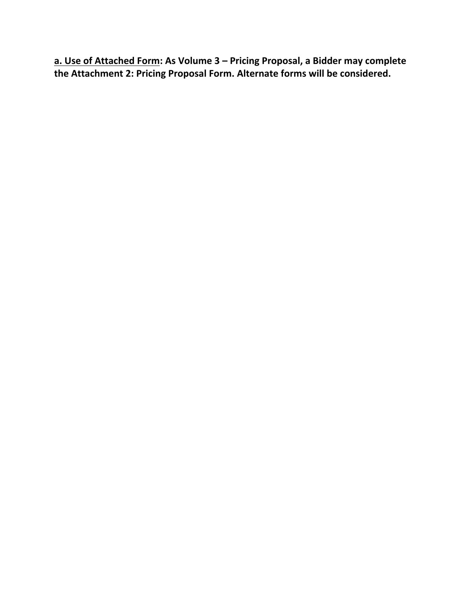**a. Use of Attached Form: As Volume 3 – Pricing Proposal, a Bidder may complete the Attachment 2: Pricing Proposal Form. Alternate forms will be considered.**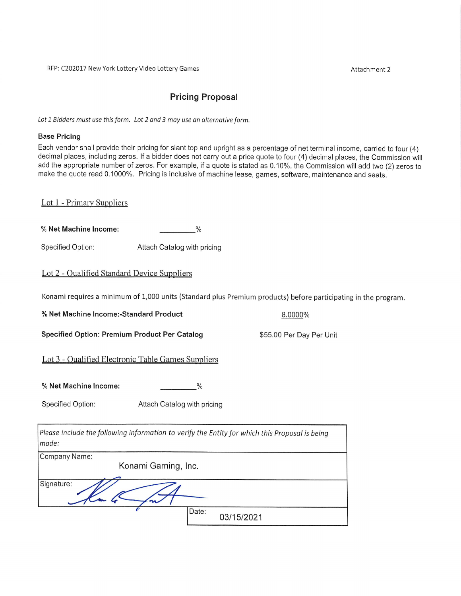Attachment 2

### **Pricing Proposal**

Lot 1 Bidders must use this form. Lot 2 and 3 may use an alternative form.

#### **Base Pricing**

Each vendor shall provide their pricing for slant top and upright as a percentage of net terminal income, carried to four (4) decimal places, including zeros. If a bidder does not carry out a price quote to four (4) decimal places, the Commission will add the appropriate number of zeros. For example, if a quote is stated as 0.10%, the Commission will add two (2) zeros to make the quote read 0.1000%. Pricing is inclusive of machine lease, games, software, maintenance and seats.

Lot 1 - Primary Suppliers

% Net Machine Income:  $\sim$   $\frac{1}{2}$ 

**Specified Option:** Attach Catalog with pricing

#### Lot 2 - Qualified Standard Device Suppliers

Konami requires a minimum of 1,000 units (Standard plus Premium products) before participating in the program.

8.0000%

\$55.00 Per Day Per Unit

% Net Machine Income:-Standard Product

**Specified Option: Premium Product Per Catalog** 

Lot 3 - Qualified Electronic Table Games Suppliers

% Net Machine Income:

Specified Option: Attach Catalog with pricing

Please include the following information to verify the Entity for which this Proposal is being made:

 $\frac{0}{0}$ 

| Company Name:       |       |            |
|---------------------|-------|------------|
| Konami Gaming, Inc. |       |            |
|                     |       |            |
| Signature:          |       |            |
|                     | Date: | 03/15/2021 |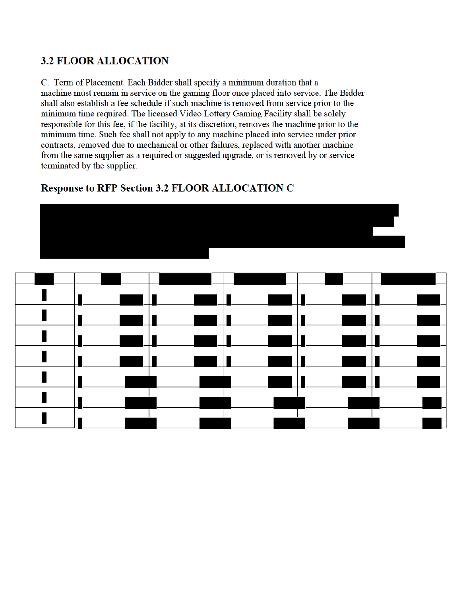## **3.2 FLOOR ALLOCATION**

C. Term of Placement. Each Bidder shall specify a minimum duration that a machine must remain in service on the gaming floor once placed into service. The Bidder shall also establish a fee schedule if such machine is removed from service prior to the minimum time required. The licensed Video Lottery Gaming Facility shall be solely responsible for this fee, if the facility, at its discretion, removes the machine prior to the minimum time. Such fee shall not apply to any machine placed into service under prior contracts, removed due to mechanical or other failures, replaced with another machine from the same supplier as a required or suggested upgrade, or is removed by or service terminated by the supplier.

## **Response to RFP Section 3.2 FLOOR ALLOCATION C**

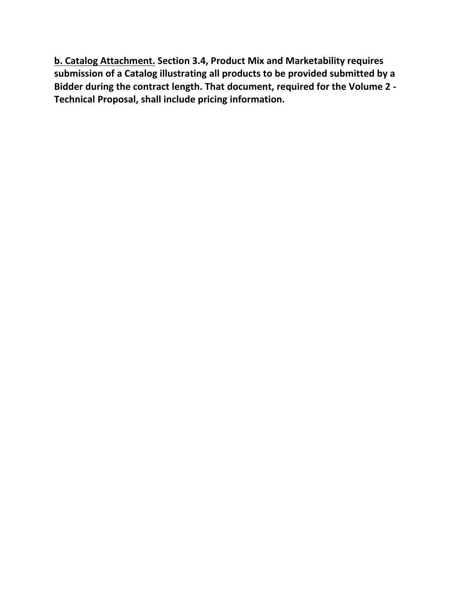**b. Catalog Attachment. Section 3.4, Product Mix and Marketability requires submission of a Catalog illustrating all products to be provided submitted by a Bidder during the contract length. That document, required for the Volume 2 - Technical Proposal, shall include pricing information.**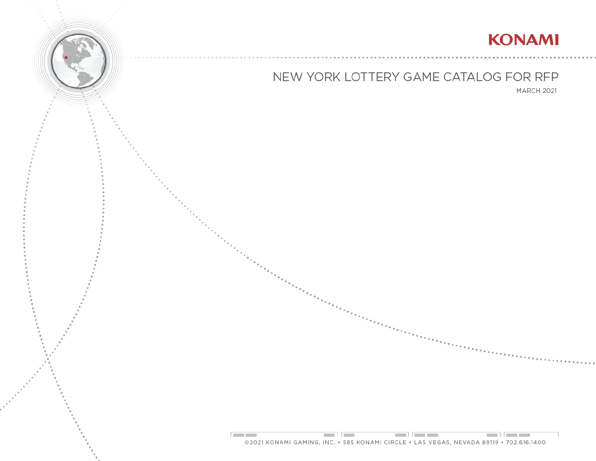